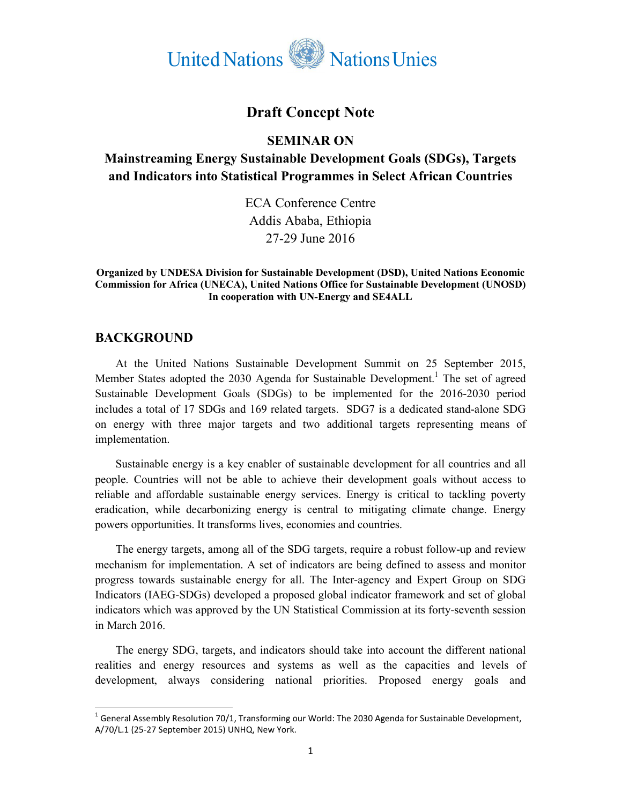

# **Draft Concept Note**

#### **SEMINAR ON**

# **Mainstreaming Energy Sustainable Development Goals (SDGs), Targets and Indicators into Statistical Programmes in Select African Countries**

ECA Conference Centre Addis Ababa, Ethiopia 27-29 June 2016

#### **Organized by UNDESA Division for Sustainable Development (DSD), United Nations Economic Commission for Africa (UNECA), United Nations Office for Sustainable Development (UNOSD) In cooperation with UN-Energy and SE4ALL**

#### **BACKGROUND**

l,

At the United Nations Sustainable Development Summit on 25 September 2015, Member States adopted the 2030 Agenda for Sustainable Development.<sup>1</sup> The set of agreed Sustainable Development Goals (SDGs) to be implemented for the 2016-2030 period includes a total of 17 SDGs and 169 related targets. SDG7 is a dedicated stand-alone SDG on energy with three major targets and two additional targets representing means of implementation.

Sustainable energy is a key enabler of sustainable development for all countries and all people. Countries will not be able to achieve their development goals without access to reliable and affordable sustainable energy services. Energy is critical to tackling poverty eradication, while decarbonizing energy is central to mitigating climate change. Energy powers opportunities. It transforms lives, economies and countries.

The energy targets, among all of the SDG targets, require a robust follow-up and review mechanism for implementation. A set of indicators are being defined to assess and monitor progress towards sustainable energy for all. The Inter-agency and Expert Group on SDG Indicators (IAEG-SDGs) developed a proposed global indicator framework and set of global indicators which was approved by the UN Statistical Commission at its forty-seventh session in March 2016.

The energy SDG, targets, and indicators should take into account the different national realities and energy resources and systems as well as the capacities and levels of development, always considering national priorities. Proposed energy goals and

 $^1$  General Assembly Resolution 70/1, Transforming our World: The 2030 Agenda for Sustainable Development, A/70/L.1 (25-27 September 2015) UNHQ, New York.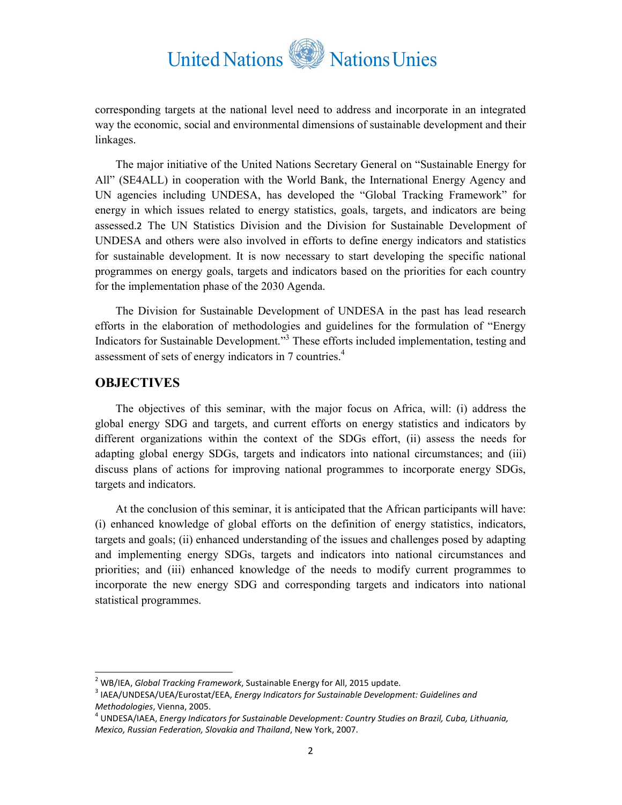# United Nations NationsUnies

corresponding targets at the national level need to address and incorporate in an integrated way the economic, social and environmental dimensions of sustainable development and their linkages.

The major initiative of the United Nations Secretary General on "Sustainable Energy for All" (SE4ALL) in cooperation with the World Bank, the International Energy Agency and UN agencies including UNDESA, has developed the "Global Tracking Framework" for energy in which issues related to energy statistics, goals, targets, and indicators are being assessed.2 The UN Statistics Division and the Division for Sustainable Development of UNDESA and others were also involved in efforts to define energy indicators and statistics for sustainable development. It is now necessary to start developing the specific national programmes on energy goals, targets and indicators based on the priorities for each country for the implementation phase of the 2030 Agenda.

The Division for Sustainable Development of UNDESA in the past has lead research efforts in the elaboration of methodologies and guidelines for the formulation of "Energy Indicators for Sustainable Development."<sup>3</sup> These efforts included implementation, testing and assessment of sets of energy indicators in 7 countries.<sup>4</sup>

#### **OBJECTIVES**

l,

The objectives of this seminar, with the major focus on Africa, will: (i) address the global energy SDG and targets, and current efforts on energy statistics and indicators by different organizations within the context of the SDGs effort, (ii) assess the needs for adapting global energy SDGs, targets and indicators into national circumstances; and (iii) discuss plans of actions for improving national programmes to incorporate energy SDGs, targets and indicators.

At the conclusion of this seminar, it is anticipated that the African participants will have: (i) enhanced knowledge of global efforts on the definition of energy statistics, indicators, targets and goals; (ii) enhanced understanding of the issues and challenges posed by adapting and implementing energy SDGs, targets and indicators into national circumstances and priorities; and (iii) enhanced knowledge of the needs to modify current programmes to incorporate the new energy SDG and corresponding targets and indicators into national statistical programmes.

<sup>2</sup> WB/IEA, *Global Tracking Framework*, Sustainable Energy for All, 2015 update.

<sup>3</sup> IAEA/UNDESA/UEA/Eurostat/EEA, *Energy Indicators for Sustainable Development: Guidelines and Methodologies*, Vienna, 2005.

<sup>4</sup> UNDESA/IAEA, *Energy Indicators for Sustainable Development: Country Studies on Brazil, Cuba, Lithuania, Mexico, Russian Federation, Slovakia and Thailand*, New York, 2007.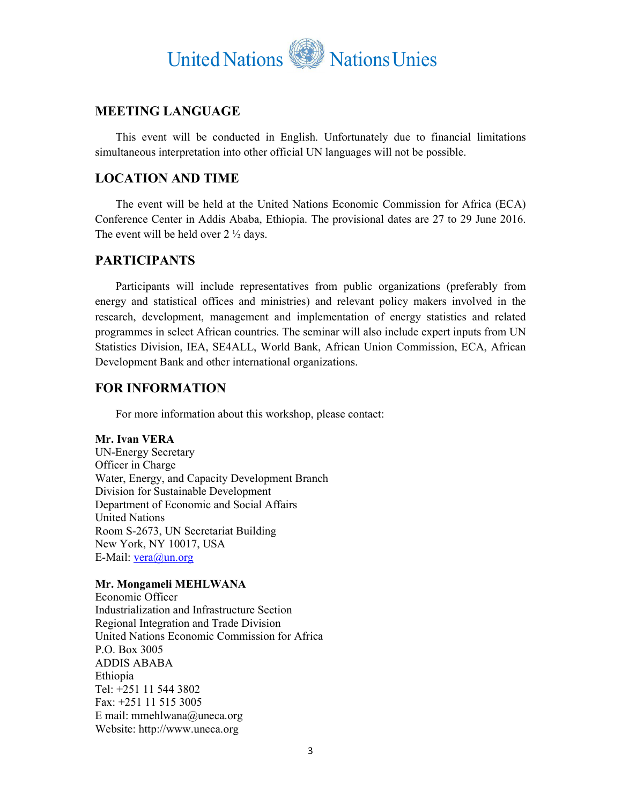

## **MEETING LANGUAGE**

This event will be conducted in English. Unfortunately due to financial limitations simultaneous interpretation into other official UN languages will not be possible.

## **LOCATION AND TIME**

The event will be held at the United Nations Economic Commission for Africa (ECA) Conference Center in Addis Ababa, Ethiopia. The provisional dates are 27 to 29 June 2016. The event will be held over  $2 \frac{1}{2}$  days.

## **PARTICIPANTS**

Participants will include representatives from public organizations (preferably from energy and statistical offices and ministries) and relevant policy makers involved in the research, development, management and implementation of energy statistics and related programmes in select African countries. The seminar will also include expert inputs from UN Statistics Division, IEA, SE4ALL, World Bank, African Union Commission, ECA, African Development Bank and other international organizations.

## **FOR INFORMATION**

For more information about this workshop, please contact:

**Mr. Ivan VERA**  UN-Energy Secretary Officer in Charge Water, Energy, and Capacity Development Branch Division for Sustainable Development Department of Economic and Social Affairs United Nations Room S-2673, UN Secretariat Building New York, NY 10017, USA E-Mail: vera@un.org

#### **Mr. Mongameli MEHLWANA**

Economic Officer Industrialization and Infrastructure Section Regional Integration and Trade Division United Nations Economic Commission for Africa P.O. Box 3005 ADDIS ABABA Ethiopia Tel: +251 11 544 3802 Fax: +251 11 515 3005 E mail: mmehlwana@uneca.org Website: http://www.uneca.org